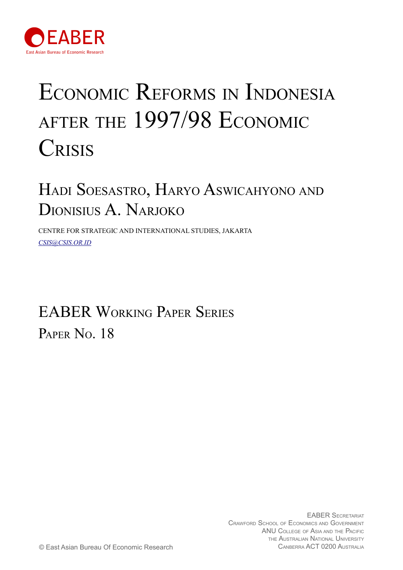

# ECONOMIC REFORMS IN INDONESIA AFTER THE 1997/98 ECONOMIC **CRISIS**

# HADI SOESASTRO, HARYO ASWICAHYONO AND DIONISIUS A. NARJOKO

CENTRE FOR STRATEGIC AND INTERNATIONAL STUDIES, JAKARTA *[CSIS@CSIS.OR.ID](mailto:as@andrewsheng.net)*

# EABER WORKING PAPER SERIES PAPER No. 18

EABER SECRETARIAT CRAWFORD SCHOOL OF ECONOMICS AND GOVERNMENT ANU COLLEGE OF ASIA AND THE PACIFIC THE AUSTRALIAN NATIONAL UNIVERSITY<br>CANBERRA ACT 0200 AUSTRALIA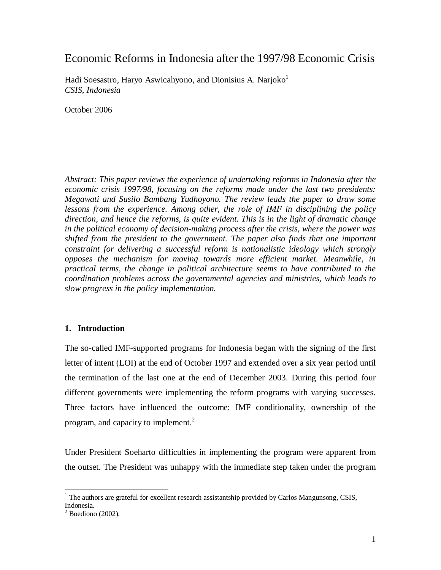# Economic Reforms in Indonesia after the 1997/98 Economic Crisis

Hadi Soesastro, Haryo Aswicahyono, and Dionisius A. Narjoko $<sup>1</sup>$ </sup> *CSIS, Indonesia* 

October 2006

*Abstract: This paper reviews the experience of undertaking reforms in Indonesia after the economic crisis 1997/98, focusing on the reforms made under the last two presidents: Megawati and Susilo Bambang Yudhoyono. The review leads the paper to draw some lessons from the experience. Among other, the role of IMF in disciplining the policy direction, and hence the reforms, is quite evident. This is in the light of dramatic change in the political economy of decision-making process after the crisis, where the power was shifted from the president to the government. The paper also finds that one important constraint for delivering a successful reform is nationalistic ideology which strongly opposes the mechanism for moving towards more efficient market. Meanwhile, in practical terms, the change in political architecture seems to have contributed to the coordination problems across the governmental agencies and ministries, which leads to slow progress in the policy implementation.* 

### **1. Introduction**

The so-called IMF-supported programs for Indonesia began with the signing of the first letter of intent (LOI) at the end of October 1997 and extended over a six year period until the termination of the last one at the end of December 2003. During this period four different governments were implementing the reform programs with varying successes. Three factors have influenced the outcome: IMF conditionality, ownership of the program, and capacity to implement. $^{2}$ 

Under President Soeharto difficulties in implementing the program were apparent from the outset. The President was unhappy with the immediate step taken under the program

 $\overline{a}$  $<sup>1</sup>$  The authors are grateful for excellent research assistantship provided by Carlos Mangunsong, CSIS,</sup> Indonesia.

 $2^{2}$  Boediono (2002).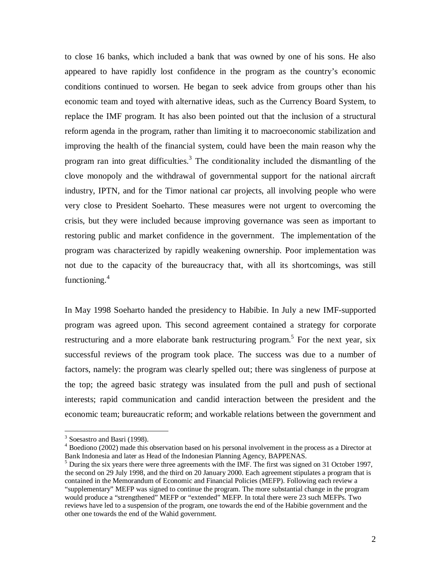to close 16 banks, which included a bank that was owned by one of his sons. He also appeared to have rapidly lost confidence in the program as the country's economic conditions continued to worsen. He began to seek advice from groups other than his economic team and toyed with alternative ideas, such as the Currency Board System, to replace the IMF program. It has also been pointed out that the inclusion of a structural reform agenda in the program, rather than limiting it to macroeconomic stabilization and improving the health of the financial system, could have been the main reason why the program ran into great difficulties.<sup>3</sup> The conditionality included the dismantling of the clove monopoly and the withdrawal of governmental support for the national aircraft industry, IPTN, and for the Timor national car projects, all involving people who were very close to President Soeharto. These measures were not urgent to overcoming the crisis, but they were included because improving governance was seen as important to restoring public and market confidence in the government. The implementation of the program was characterized by rapidly weakening ownership. Poor implementation was not due to the capacity of the bureaucracy that, with all its shortcomings, was still functioning. 4

In May 1998 Soeharto handed the presidency to Habibie. In July a new IMF-supported program was agreed upon. This second agreement contained a strategy for corporate restructuring and a more elaborate bank restructuring program.<sup>5</sup> For the next year, six successful reviews of the program took place. The success was due to a number of factors, namely: the program was clearly spelled out; there was singleness of purpose at the top; the agreed basic strategy was insulated from the pull and push of sectional interests; rapid communication and candid interaction between the president and the economic team; bureaucratic reform; and workable relations between the government and

<u>.</u>

<sup>&</sup>lt;sup>3</sup> Soesastro and Basri (1998).

<sup>4</sup> Boediono (2002) made this observation based on his personal involvement in the process as a Director at Bank Indonesia and later as Head of the Indonesian Planning Agency, BAPPENAS.

 $<sup>5</sup>$  During the six years there were three agreements with the IMF. The first was signed on 31 October 1997,</sup> the second on 29 July 1998, and the third on 20 January 2000. Each agreement stipulates a program that is contained in the Memorandum of Economic and Financial Policies (MEFP). Following each review a "supplementary" MEFP was signed to continue the program. The more substantial change in the program would produce a "strengthened" MEFP or "extended" MEFP. In total there were 23 such MEFPs. Two reviews have led to a suspension of the program, one towards the end of the Habibie government and the other one towards the end of the Wahid government.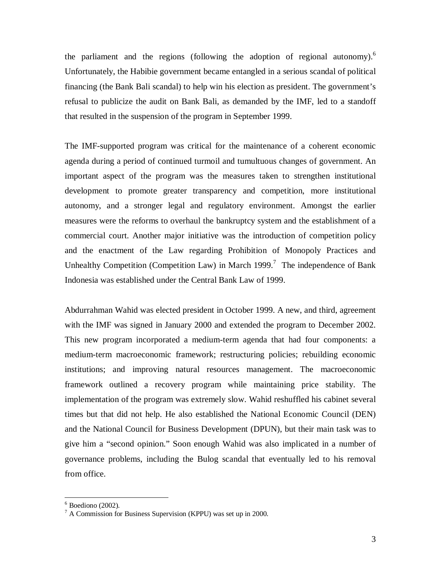the parliament and the regions (following the adoption of regional autonomy).<sup>6</sup> Unfortunately, the Habibie government became entangled in a serious scandal of political financing (the Bank Bali scandal) to help win his election as president. The government's refusal to publicize the audit on Bank Bali, as demanded by the IMF, led to a standoff that resulted in the suspension of the program in September 1999.

The IMF-supported program was critical for the maintenance of a coherent economic agenda during a period of continued turmoil and tumultuous changes of government. An important aspect of the program was the measures taken to strengthen institutional development to promote greater transparency and competition, more institutional autonomy, and a stronger legal and regulatory environment. Amongst the earlier measures were the reforms to overhaul the bankruptcy system and the establishment of a commercial court. Another major initiative was the introduction of competition policy and the enactment of the Law regarding Prohibition of Monopoly Practices and Unhealthy Competition (Competition Law) in March 1999.<sup>7</sup> The independence of Bank Indonesia was established under the Central Bank Law of 1999.

Abdurrahman Wahid was elected president in October 1999. A new, and third, agreement with the IMF was signed in January 2000 and extended the program to December 2002. This new program incorporated a medium-term agenda that had four components: a medium-term macroeconomic framework; restructuring policies; rebuilding economic institutions; and improving natural resources management. The macroeconomic framework outlined a recovery program while maintaining price stability. The implementation of the program was extremely slow. Wahid reshuffled his cabinet several times but that did not help. He also established the National Economic Council (DEN) and the National Council for Business Development (DPUN), but their main task was to give him a "second opinion." Soon enough Wahid was also implicated in a number of governance problems, including the Bulog scandal that eventually led to his removal from office.

 $\overline{a}$ 

 $6$  Boediono (2002).

<sup>7</sup> A Commission for Business Supervision (KPPU) was set up in 2000.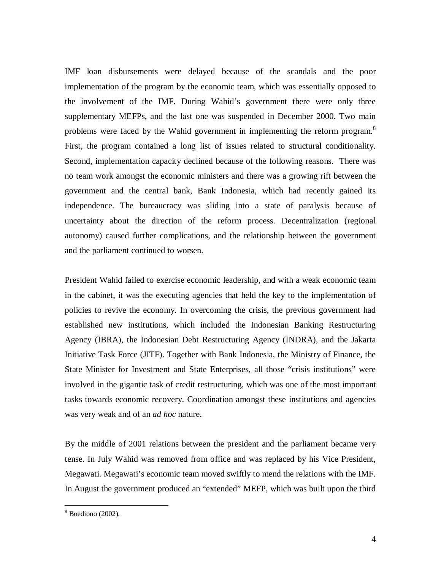IMF loan disbursements were delayed because of the scandals and the poor implementation of the program by the economic team, which was essentially opposed to the involvement of the IMF. During Wahid's government there were only three supplementary MEFPs, and the last one was suspended in December 2000. Two main problems were faced by the Wahid government in implementing the reform program.<sup>8</sup> First, the program contained a long list of issues related to structural conditionality. Second, implementation capacity declined because of the following reasons. There was no team work amongst the economic ministers and there was a growing rift between the government and the central bank, Bank Indonesia, which had recently gained its independence. The bureaucracy was sliding into a state of paralysis because of uncertainty about the direction of the reform process. Decentralization (regional autonomy) caused further complications, and the relationship between the government and the parliament continued to worsen.

President Wahid failed to exercise economic leadership, and with a weak economic team in the cabinet, it was the executing agencies that held the key to the implementation of policies to revive the economy. In overcoming the crisis, the previous government had established new institutions, which included the Indonesian Banking Restructuring Agency (IBRA), the Indonesian Debt Restructuring Agency (INDRA), and the Jakarta Initiative Task Force (JITF). Together with Bank Indonesia, the Ministry of Finance, the State Minister for Investment and State Enterprises, all those "crisis institutions" were involved in the gigantic task of credit restructuring, which was one of the most important tasks towards economic recovery. Coordination amongst these institutions and agencies was very weak and of an *ad hoc* nature.

By the middle of 2001 relations between the president and the parliament became very tense. In July Wahid was removed from office and was replaced by his Vice President, Megawati. Megawati's economic team moved swiftly to mend the relations with the IMF. In August the government produced an "extended" MEFP, which was built upon the third

 $\overline{a}$ 

 $8$  Boediono (2002).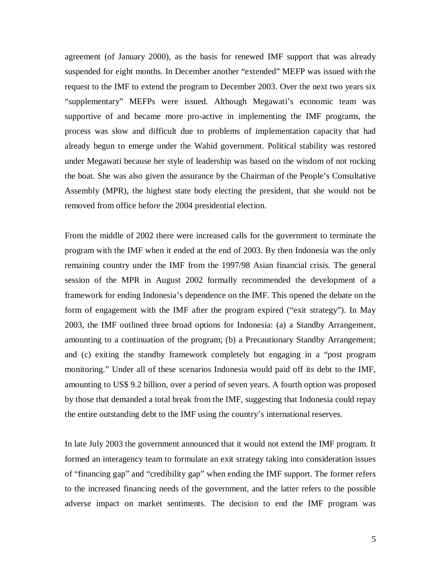agreement (of January 2000), as the basis for renewed IMF support that was already suspended for eight months. In December another "extended" MEFP was issued with the request to the IMF to extend the program to December 2003. Over the next two years six "supplementary" MEFPs were issued. Although Megawati's economic team was supportive of and became more pro-active in implementing the IMF programs, the process was slow and difficult due to problems of implementation capacity that had already begun to emerge under the Wahid government. Political stability was restored under Megawati because her style of leadership was based on the wisdom of not rocking the boat. She was also given the assurance by the Chairman of the People's Consultative Assembly (MPR), the highest state body electing the president, that she would not be removed from office before the 2004 presidential election.

From the middle of 2002 there were increased calls for the government to terminate the program with the IMF when it ended at the end of 2003. By then Indonesia was the only remaining country under the IMF from the 1997/98 Asian financial crisis. The general session of the MPR in August 2002 formally recommended the development of a framework for ending Indonesia's dependence on the IMF. This opened the debate on the form of engagement with the IMF after the program expired ("exit strategy"). In May 2003, the IMF outlined three broad options for Indonesia: (a) a Standby Arrangement, amounting to a continuation of the program; (b) a Precautionary Standby Arrangement; and (c) exiting the standby framework completely but engaging in a "post program monitoring." Under all of these scenarios Indonesia would paid off its debt to the IMF, amounting to US\$ 9.2 billion, over a period of seven years. A fourth option was proposed by those that demanded a total break from the IMF, suggesting that Indonesia could repay the entire outstanding debt to the IMF using the country's international reserves.

In late July 2003 the government announced that it would not extend the IMF program. It formed an interagency team to formulate an exit strategy taking into consideration issues of "financing gap" and "credibility gap" when ending the IMF support. The former refers to the increased financing needs of the government, and the latter refers to the possible adverse impact on market sentiments. The decision to end the IMF program was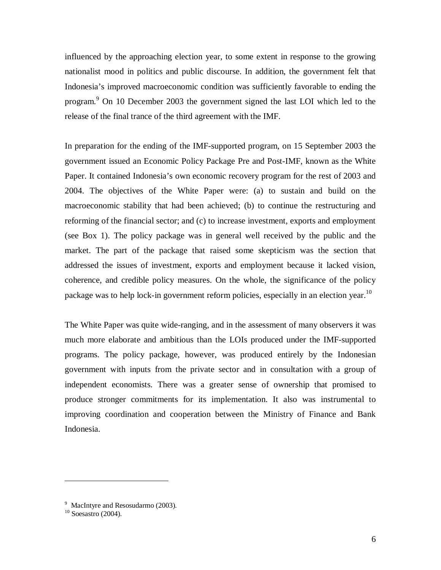influenced by the approaching election year, to some extent in response to the growing nationalist mood in politics and public discourse. In addition, the government felt that Indonesia's improved macroeconomic condition was sufficiently favorable to ending the program.<sup>9</sup> On 10 December 2003 the government signed the last LOI which led to the release of the final trance of the third agreement with the IMF.

In preparation for the ending of the IMF-supported program, on 15 September 2003 the government issued an Economic Policy Package Pre and Post-IMF, known as the White Paper. It contained Indonesia's own economic recovery program for the rest of 2003 and 2004. The objectives of the White Paper were: (a) to sustain and build on the macroeconomic stability that had been achieved; (b) to continue the restructuring and reforming of the financial sector; and (c) to increase investment, exports and employment (see Box 1). The policy package was in general well received by the public and the market. The part of the package that raised some skepticism was the section that addressed the issues of investment, exports and employment because it lacked vision, coherence, and credible policy measures. On the whole, the significance of the policy package was to help lock-in government reform policies, especially in an election year.<sup>10</sup>

The White Paper was quite wide-ranging, and in the assessment of many observers it was much more elaborate and ambitious than the LOIs produced under the IMF-supported programs. The policy package, however, was produced entirely by the Indonesian government with inputs from the private sector and in consultation with a group of independent economists. There was a greater sense of ownership that promised to produce stronger commitments for its implementation. It also was instrumental to improving coordination and cooperation between the Ministry of Finance and Bank Indonesia.

 $\overline{a}$ 

<sup>&</sup>lt;sup>9</sup> MacIntyre and Resosudarmo (2003).

 $10$  Soesastro (2004).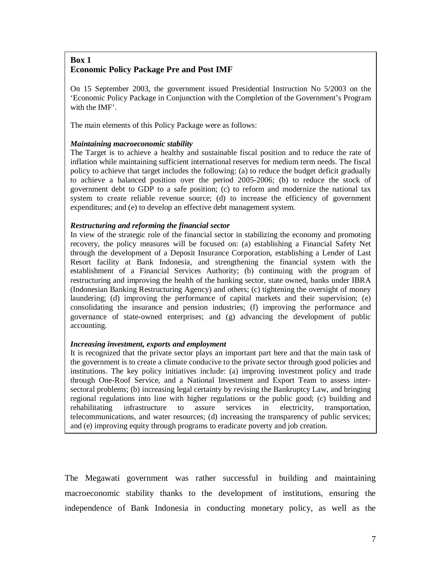# **Box 1 Economic Policy Package Pre and Post IMF**

On 15 September 2003, the government issued Presidential Instruction No 5/2003 on the 'Economic Policy Package in Conjunction with the Completion of the Government's Program with the IMF'.

The main elements of this Policy Package were as follows:

#### *Maintaining macroeconomic stability*

The Target is to achieve a healthy and sustainable fiscal position and to reduce the rate of inflation while maintaining sufficient international reserves for medium term needs. The fiscal policy to achieve that target includes the following: (a) to reduce the budget deficit gradually to achieve a balanced position over the period 2005-2006; (b) to reduce the stock of government debt to GDP to a safe position; (c) to reform and modernize the national tax system to create reliable revenue source; (d) to increase the efficiency of government expenditures; and (e) to develop an effective debt management system.

#### *Restructuring and reforming the financial sector*

In view of the strategic role of the financial sector in stabilizing the economy and promoting recovery, the policy measures will be focused on: (a) establishing a Financial Safety Net through the development of a Deposit Insurance Corporation, establishing a Lender of Last Resort facility at Bank Indonesia, and strengthening the financial system with the establishment of a Financial Services Authority; (b) continuing with the program of restructuring and improving the health of the banking sector, state owned, banks under IBRA (Indonesian Banking Restructuring Agency) and others; (c) tightening the oversight of money laundering; (d) improving the performance of capital markets and their supervision; (e) consolidating the insurance and pension industries; (f) improving the performance and governance of state-owned enterprises; and (g) advancing the development of public accounting.

#### *Increasing investment, exports and employment*

It is recognized that the private sector plays an important part here and that the main task of the government is to create a climate conducive to the private sector through good policies and institutions. The key policy initiatives include: (a) improving investment policy and trade through One-Roof Service, and a National Investment and Export Team to assess intersectoral problems; (b) increasing legal certainty by revising the Bankruptcy Law, and bringing regional regulations into line with higher regulations or the public good; (c) building and rehabilitating infrastructure to assure services in electricity, transportation, telecommunications, and water resources; (d) increasing the transparency of public services; and (e) improving equity through programs to eradicate poverty and job creation.

The Megawati government was rather successful in building and maintaining macroeconomic stability thanks to the development of institutions, ensuring the independence of Bank Indonesia in conducting monetary policy, as well as the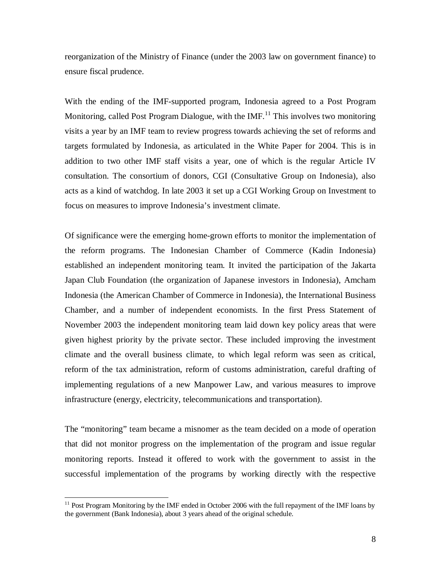reorganization of the Ministry of Finance (under the 2003 law on government finance) to ensure fiscal prudence.

With the ending of the IMF-supported program, Indonesia agreed to a Post Program Monitoring, called Post Program Dialogue, with the  $IMF<sup>11</sup>$ . This involves two monitoring visits a year by an IMF team to review progress towards achieving the set of reforms and targets formulated by Indonesia, as articulated in the White Paper for 2004. This is in addition to two other IMF staff visits a year, one of which is the regular Article IV consultation. The consortium of donors, CGI (Consultative Group on Indonesia), also acts as a kind of watchdog. In late 2003 it set up a CGI Working Group on Investment to focus on measures to improve Indonesia's investment climate.

Of significance were the emerging home-grown efforts to monitor the implementation of the reform programs. The Indonesian Chamber of Commerce (Kadin Indonesia) established an independent monitoring team. It invited the participation of the Jakarta Japan Club Foundation (the organization of Japanese investors in Indonesia), Amcham Indonesia (the American Chamber of Commerce in Indonesia), the International Business Chamber, and a number of independent economists. In the first Press Statement of November 2003 the independent monitoring team laid down key policy areas that were given highest priority by the private sector. These included improving the investment climate and the overall business climate, to which legal reform was seen as critical, reform of the tax administration, reform of customs administration, careful drafting of implementing regulations of a new Manpower Law, and various measures to improve infrastructure (energy, electricity, telecommunications and transportation).

The "monitoring" team became a misnomer as the team decided on a mode of operation that did not monitor progress on the implementation of the program and issue regular monitoring reports. Instead it offered to work with the government to assist in the successful implementation of the programs by working directly with the respective

 $\overline{a}$ 

<sup>&</sup>lt;sup>11</sup> Post Program Monitoring by the IMF ended in October 2006 with the full repayment of the IMF loans by the government (Bank Indonesia), about 3 years ahead of the original schedule.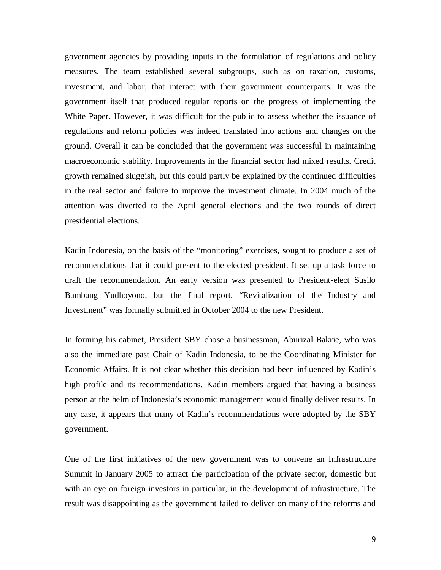government agencies by providing inputs in the formulation of regulations and policy measures. The team established several subgroups, such as on taxation, customs, investment, and labor, that interact with their government counterparts. It was the government itself that produced regular reports on the progress of implementing the White Paper. However, it was difficult for the public to assess whether the issuance of regulations and reform policies was indeed translated into actions and changes on the ground. Overall it can be concluded that the government was successful in maintaining macroeconomic stability. Improvements in the financial sector had mixed results. Credit growth remained sluggish, but this could partly be explained by the continued difficulties in the real sector and failure to improve the investment climate. In 2004 much of the attention was diverted to the April general elections and the two rounds of direct presidential elections.

Kadin Indonesia, on the basis of the "monitoring" exercises, sought to produce a set of recommendations that it could present to the elected president. It set up a task force to draft the recommendation. An early version was presented to President-elect Susilo Bambang Yudhoyono, but the final report, "Revitalization of the Industry and Investment" was formally submitted in October 2004 to the new President.

In forming his cabinet, President SBY chose a businessman, Aburizal Bakrie, who was also the immediate past Chair of Kadin Indonesia, to be the Coordinating Minister for Economic Affairs. It is not clear whether this decision had been influenced by Kadin's high profile and its recommendations. Kadin members argued that having a business person at the helm of Indonesia's economic management would finally deliver results. In any case, it appears that many of Kadin's recommendations were adopted by the SBY government.

One of the first initiatives of the new government was to convene an Infrastructure Summit in January 2005 to attract the participation of the private sector, domestic but with an eye on foreign investors in particular, in the development of infrastructure. The result was disappointing as the government failed to deliver on many of the reforms and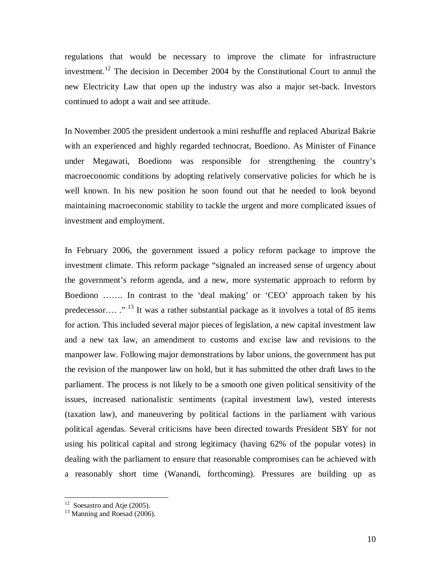regulations that would be necessary to improve the climate for infrastructure investment.<sup>12</sup> The decision in December 2004 by the Constitutional Court to annul the new Electricity Law that open up the industry was also a major set-back. Investors continued to adopt a wait and see attitude.

In November 2005 the president undertook a mini reshuffle and replaced Aburizal Bakrie with an experienced and highly regarded technocrat, Boediono. As Minister of Finance under Megawati, Boediono was responsible for strengthening the country's macroeconomic conditions by adopting relatively conservative policies for which he is well known. In his new position he soon found out that he needed to look beyond maintaining macroeconomic stability to tackle the urgent and more complicated issues of investment and employment.

In February 2006, the government issued a policy reform package to improve the investment climate. This reform package "signaled an increased sense of urgency about the government's reform agenda, and a new, more systematic approach to reform by Boediono ……. In contrast to the 'deal making' or 'CEO' approach taken by his predecessor…. ."<sup>13</sup> It was a rather substantial package as it involves a total of 85 items for action. This included several major pieces of legislation, a new capital investment law and a new tax law, an amendment to customs and excise law and revisions to the manpower law. Following major demonstrations by labor unions, the government has put the revision of the manpower law on hold, but it has submitted the other draft laws to the parliament. The process is not likely to be a smooth one given political sensitivity of the issues, increased nationalistic sentiments (capital investment law), vested interests (taxation law), and maneuvering by political factions in the parliament with various political agendas. Several criticisms have been directed towards President SBY for not using his political capital and strong legitimacy (having 62% of the popular votes) in dealing with the parliament to ensure that reasonable compromises can be achieved with a reasonably short time (Wanandi, forthcoming). Pressures are building up as

<sup>&</sup>lt;sup>12</sup> Soesastro and Atje (2005).

 $13$  Manning and Roesad (2006).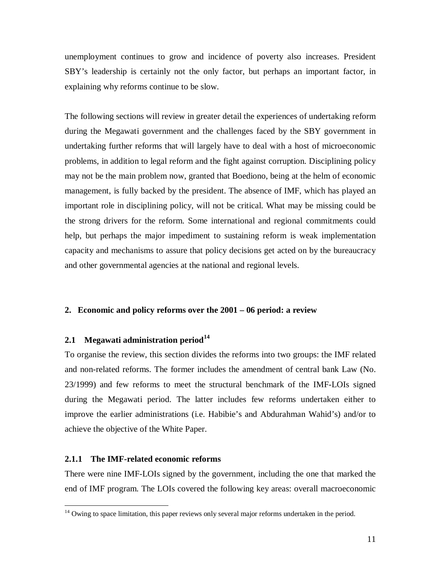unemployment continues to grow and incidence of poverty also increases. President SBY's leadership is certainly not the only factor, but perhaps an important factor, in explaining why reforms continue to be slow.

The following sections will review in greater detail the experiences of undertaking reform during the Megawati government and the challenges faced by the SBY government in undertaking further reforms that will largely have to deal with a host of microeconomic problems, in addition to legal reform and the fight against corruption. Disciplining policy may not be the main problem now, granted that Boediono, being at the helm of economic management, is fully backed by the president. The absence of IMF, which has played an important role in disciplining policy, will not be critical. What may be missing could be the strong drivers for the reform. Some international and regional commitments could help, but perhaps the major impediment to sustaining reform is weak implementation capacity and mechanisms to assure that policy decisions get acted on by the bureaucracy and other governmental agencies at the national and regional levels.

#### **2. Economic and policy reforms over the 2001 – 06 period: a review**

## **2.1 Megawati administration period<sup>14</sup>**

To organise the review, this section divides the reforms into two groups: the IMF related and non-related reforms. The former includes the amendment of central bank Law (No. 23/1999) and few reforms to meet the structural benchmark of the IMF-LOIs signed during the Megawati period. The latter includes few reforms undertaken either to improve the earlier administrations (i.e. Habibie's and Abdurahman Wahid's) and/or to achieve the objective of the White Paper.

# **2.1.1 The IMF-related economic reforms**

 $\overline{a}$ 

There were nine IMF-LOIs signed by the government, including the one that marked the end of IMF program. The LOIs covered the following key areas: overall macroeconomic

 $14$  Owing to space limitation, this paper reviews only several major reforms undertaken in the period.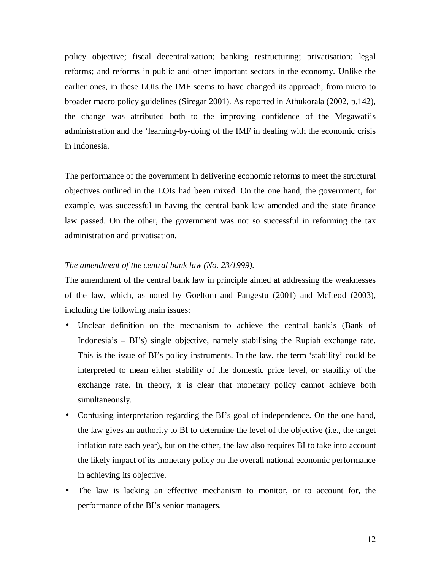policy objective; fiscal decentralization; banking restructuring; privatisation; legal reforms; and reforms in public and other important sectors in the economy. Unlike the earlier ones, in these LOIs the IMF seems to have changed its approach, from micro to broader macro policy guidelines (Siregar 2001). As reported in Athukorala (2002, p.142), the change was attributed both to the improving confidence of the Megawati's administration and the 'learning-by-doing of the IMF in dealing with the economic crisis in Indonesia.

The performance of the government in delivering economic reforms to meet the structural objectives outlined in the LOIs had been mixed. On the one hand, the government, for example, was successful in having the central bank law amended and the state finance law passed. On the other, the government was not so successful in reforming the tax administration and privatisation.

#### *The amendment of the central bank law (No. 23/1999).*

The amendment of the central bank law in principle aimed at addressing the weaknesses of the law, which, as noted by Goeltom and Pangestu (2001) and McLeod (2003), including the following main issues:

- Unclear definition on the mechanism to achieve the central bank's (Bank of Indonesia's – BI's) single objective, namely stabilising the Rupiah exchange rate. This is the issue of BI's policy instruments. In the law, the term 'stability' could be interpreted to mean either stability of the domestic price level, or stability of the exchange rate. In theory, it is clear that monetary policy cannot achieve both simultaneously.
- Confusing interpretation regarding the BI's goal of independence. On the one hand, the law gives an authority to BI to determine the level of the objective (i.e., the target inflation rate each year), but on the other, the law also requires BI to take into account the likely impact of its monetary policy on the overall national economic performance in achieving its objective.
- The law is lacking an effective mechanism to monitor, or to account for, the performance of the BI's senior managers.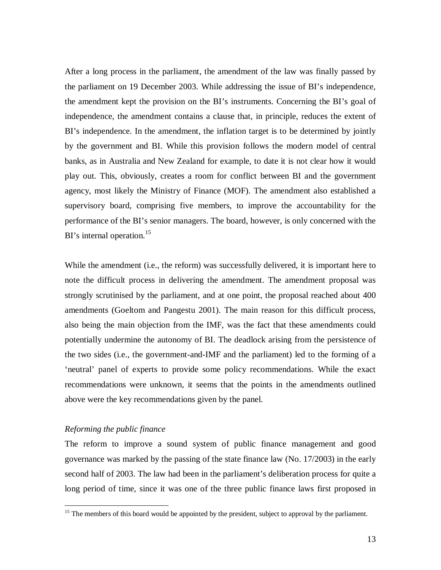After a long process in the parliament, the amendment of the law was finally passed by the parliament on 19 December 2003. While addressing the issue of BI's independence, the amendment kept the provision on the BI's instruments. Concerning the BI's goal of independence, the amendment contains a clause that, in principle, reduces the extent of BI's independence. In the amendment, the inflation target is to be determined by jointly by the government and BI. While this provision follows the modern model of central banks, as in Australia and New Zealand for example, to date it is not clear how it would play out. This, obviously, creates a room for conflict between BI and the government agency, most likely the Ministry of Finance (MOF). The amendment also established a supervisory board, comprising five members, to improve the accountability for the performance of the BI's senior managers. The board, however, is only concerned with the BI's internal operation.<sup>15</sup>

While the amendment *(i.e., the reform)* was successfully delivered, it is important here to note the difficult process in delivering the amendment. The amendment proposal was strongly scrutinised by the parliament, and at one point, the proposal reached about 400 amendments (Goeltom and Pangestu 2001). The main reason for this difficult process, also being the main objection from the IMF, was the fact that these amendments could potentially undermine the autonomy of BI. The deadlock arising from the persistence of the two sides (i.e., the government-and-IMF and the parliament) led to the forming of a 'neutral' panel of experts to provide some policy recommendations. While the exact recommendations were unknown, it seems that the points in the amendments outlined above were the key recommendations given by the panel.

#### *Reforming the public finance*

 $\overline{a}$ 

The reform to improve a sound system of public finance management and good governance was marked by the passing of the state finance law (No. 17/2003) in the early second half of 2003. The law had been in the parliament's deliberation process for quite a long period of time, since it was one of the three public finance laws first proposed in

<sup>&</sup>lt;sup>15</sup> The members of this board would be appointed by the president, subject to approval by the parliament.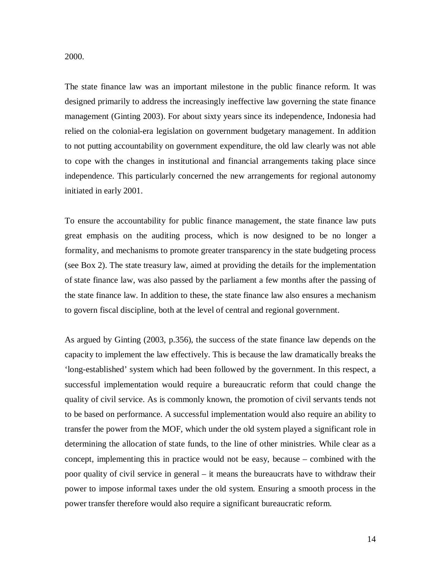2000.

The state finance law was an important milestone in the public finance reform. It was designed primarily to address the increasingly ineffective law governing the state finance management (Ginting 2003). For about sixty years since its independence, Indonesia had relied on the colonial-era legislation on government budgetary management. In addition to not putting accountability on government expenditure, the old law clearly was not able to cope with the changes in institutional and financial arrangements taking place since independence. This particularly concerned the new arrangements for regional autonomy initiated in early 2001.

To ensure the accountability for public finance management, the state finance law puts great emphasis on the auditing process, which is now designed to be no longer a formality, and mechanisms to promote greater transparency in the state budgeting process (see Box 2). The state treasury law, aimed at providing the details for the implementation of state finance law, was also passed by the parliament a few months after the passing of the state finance law. In addition to these, the state finance law also ensures a mechanism to govern fiscal discipline, both at the level of central and regional government.

As argued by Ginting (2003, p.356), the success of the state finance law depends on the capacity to implement the law effectively. This is because the law dramatically breaks the 'long-established' system which had been followed by the government. In this respect, a successful implementation would require a bureaucratic reform that could change the quality of civil service. As is commonly known, the promotion of civil servants tends not to be based on performance. A successful implementation would also require an ability to transfer the power from the MOF, which under the old system played a significant role in determining the allocation of state funds, to the line of other ministries. While clear as a concept, implementing this in practice would not be easy, because – combined with the poor quality of civil service in general – it means the bureaucrats have to withdraw their power to impose informal taxes under the old system. Ensuring a smooth process in the power transfer therefore would also require a significant bureaucratic reform.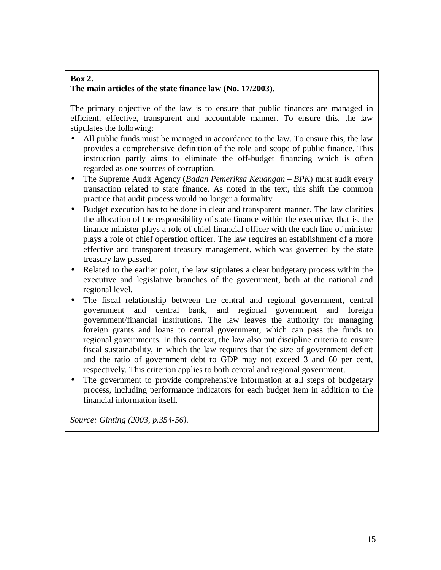# **Box 2. The main articles of the state finance law (No. 17/2003).**

The primary objective of the law is to ensure that public finances are managed in efficient, effective, transparent and accountable manner. To ensure this, the law stipulates the following:

- All public funds must be managed in accordance to the law. To ensure this, the law provides a comprehensive definition of the role and scope of public finance. This instruction partly aims to eliminate the off-budget financing which is often regarded as one sources of corruption.
- The Supreme Audit Agency (*Badan Pemeriksa Keuangan BPK*) must audit every transaction related to state finance. As noted in the text, this shift the common practice that audit process would no longer a formality.
- Budget execution has to be done in clear and transparent manner. The law clarifies the allocation of the responsibility of state finance within the executive, that is, the finance minister plays a role of chief financial officer with the each line of minister plays a role of chief operation officer. The law requires an establishment of a more effective and transparent treasury management, which was governed by the state treasury law passed.
- Related to the earlier point, the law stipulates a clear budgetary process within the executive and legislative branches of the government, both at the national and regional level.
- The fiscal relationship between the central and regional government, central government and central bank, and regional government and foreign government/financial institutions. The law leaves the authority for managing foreign grants and loans to central government, which can pass the funds to regional governments. In this context, the law also put discipline criteria to ensure fiscal sustainability, in which the law requires that the size of government deficit and the ratio of government debt to GDP may not exceed 3 and 60 per cent, respectively. This criterion applies to both central and regional government.
- The government to provide comprehensive information at all steps of budgetary process, including performance indicators for each budget item in addition to the financial information itself.

*Source: Ginting (2003, p.354-56)*.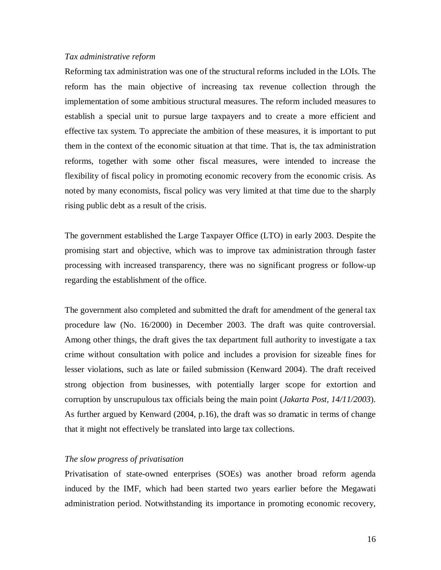#### *Tax administrative reform*

Reforming tax administration was one of the structural reforms included in the LOIs. The reform has the main objective of increasing tax revenue collection through the implementation of some ambitious structural measures. The reform included measures to establish a special unit to pursue large taxpayers and to create a more efficient and effective tax system. To appreciate the ambition of these measures, it is important to put them in the context of the economic situation at that time. That is, the tax administration reforms, together with some other fiscal measures, were intended to increase the flexibility of fiscal policy in promoting economic recovery from the economic crisis. As noted by many economists, fiscal policy was very limited at that time due to the sharply rising public debt as a result of the crisis.

The government established the Large Taxpayer Office (LTO) in early 2003. Despite the promising start and objective, which was to improve tax administration through faster processing with increased transparency, there was no significant progress or follow-up regarding the establishment of the office.

The government also completed and submitted the draft for amendment of the general tax procedure law (No. 16/2000) in December 2003. The draft was quite controversial. Among other things, the draft gives the tax department full authority to investigate a tax crime without consultation with police and includes a provision for sizeable fines for lesser violations, such as late or failed submission (Kenward 2004). The draft received strong objection from businesses, with potentially larger scope for extortion and corruption by unscrupulous tax officials being the main point (*Jakarta Post, 14/11/2003*). As further argued by Kenward (2004, p.16), the draft was so dramatic in terms of change that it might not effectively be translated into large tax collections.

#### *The slow progress of privatisation*

Privatisation of state-owned enterprises (SOEs) was another broad reform agenda induced by the IMF, which had been started two years earlier before the Megawati administration period. Notwithstanding its importance in promoting economic recovery,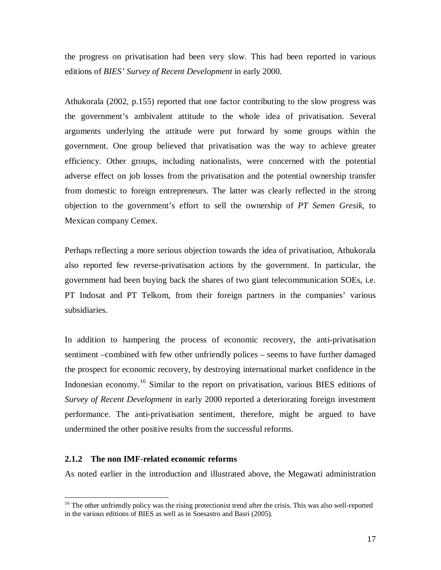the progress on privatisation had been very slow. This had been reported in various editions of *BIES' Survey of Recent Development* in early 2000.

Athukorala (2002, p.155) reported that one factor contributing to the slow progress was the government's ambivalent attitude to the whole idea of privatisation. Several arguments underlying the attitude were put forward by some groups within the government. One group believed that privatisation was the way to achieve greater efficiency. Other groups, including nationalists, were concerned with the potential adverse effect on job losses from the privatisation and the potential ownership transfer from domestic to foreign entrepreneurs. The latter was clearly reflected in the strong objection to the government's effort to sell the ownership of *PT Semen Gresik*, to Mexican company Cemex.

Perhaps reflecting a more serious objection towards the idea of privatisation, Athukorala also reported few reverse-privatisation actions by the government. In particular, the government had been buying back the shares of two giant telecommunication SOEs, i.e. PT Indosat and PT Telkom, from their foreign partners in the companies' various subsidiaries.

In addition to hampering the process of economic recovery, the anti-privatisation sentiment –combined with few other unfriendly polices – seems to have further damaged the prospect for economic recovery, by destroying international market confidence in the Indonesian economy.<sup>16</sup> Similar to the report on privatisation, various BIES editions of *Survey of Recent Development* in early 2000 reported a deteriorating foreign investment performance. The anti-privatisation sentiment, therefore, might be argued to have undermined the other positive results from the successful reforms.

### **2.1.2 The non IMF-related economic reforms**

 $\overline{a}$ 

As noted earlier in the introduction and illustrated above, the Megawati administration

<sup>&</sup>lt;sup>16</sup> The other unfriendly policy was the rising protectionist trend after the crisis. This was also well-reported in the various editions of BIES as well as in Soesastro and Basri (2005).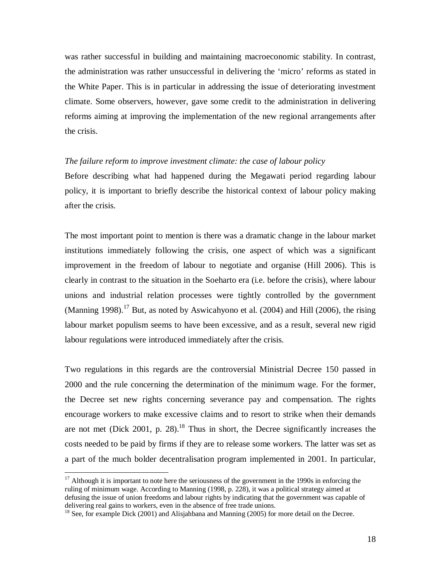was rather successful in building and maintaining macroeconomic stability. In contrast, the administration was rather unsuccessful in delivering the 'micro' reforms as stated in the White Paper. This is in particular in addressing the issue of deteriorating investment climate. Some observers, however, gave some credit to the administration in delivering reforms aiming at improving the implementation of the new regional arrangements after the crisis.

#### *The failure reform to improve investment climate: the case of labour policy*

Before describing what had happened during the Megawati period regarding labour policy, it is important to briefly describe the historical context of labour policy making after the crisis.

The most important point to mention is there was a dramatic change in the labour market institutions immediately following the crisis, one aspect of which was a significant improvement in the freedom of labour to negotiate and organise (Hill 2006). This is clearly in contrast to the situation in the Soeharto era (i.e. before the crisis), where labour unions and industrial relation processes were tightly controlled by the government (Manning 1998).<sup>17</sup> But, as noted by Aswicahyono et al. (2004) and Hill (2006), the rising labour market populism seems to have been excessive, and as a result, several new rigid labour regulations were introduced immediately after the crisis.

Two regulations in this regards are the controversial Ministrial Decree 150 passed in 2000 and the rule concerning the determination of the minimum wage. For the former, the Decree set new rights concerning severance pay and compensation. The rights encourage workers to make excessive claims and to resort to strike when their demands are not met (Dick 2001, p. 28). $^{18}$  Thus in short, the Decree significantly increases the costs needed to be paid by firms if they are to release some workers. The latter was set as a part of the much bolder decentralisation program implemented in 2001. In particular,

 $\overline{a}$ 

 $17$  Although it is important to note here the seriousness of the government in the 1990s in enforcing the ruling of minimum wage. According to Manning (1998, p. 228), it was a political strategy aimed at defusing the issue of union freedoms and labour rights by indicating that the government was capable of delivering real gains to workers, even in the absence of free trade unions.

<sup>&</sup>lt;sup>18</sup> See, for example Dick (2001) and Alisjahbana and Manning (2005) for more detail on the Decree.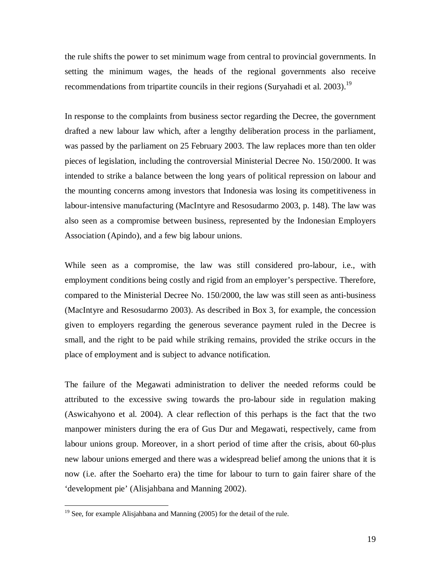the rule shifts the power to set minimum wage from central to provincial governments. In setting the minimum wages, the heads of the regional governments also receive recommendations from tripartite councils in their regions (Suryahadi et al. 2003).<sup>19</sup>

In response to the complaints from business sector regarding the Decree, the government drafted a new labour law which, after a lengthy deliberation process in the parliament, was passed by the parliament on 25 February 2003. The law replaces more than ten older pieces of legislation, including the controversial Ministerial Decree No. 150/2000. It was intended to strike a balance between the long years of political repression on labour and the mounting concerns among investors that Indonesia was losing its competitiveness in labour-intensive manufacturing (MacIntyre and Resosudarmo 2003, p. 148). The law was also seen as a compromise between business, represented by the Indonesian Employers Association (Apindo), and a few big labour unions.

While seen as a compromise, the law was still considered pro-labour, i.e., with employment conditions being costly and rigid from an employer's perspective. Therefore, compared to the Ministerial Decree No. 150/2000, the law was still seen as anti-business (MacIntyre and Resosudarmo 2003). As described in Box 3, for example, the concession given to employers regarding the generous severance payment ruled in the Decree is small, and the right to be paid while striking remains, provided the strike occurs in the place of employment and is subject to advance notification.

The failure of the Megawati administration to deliver the needed reforms could be attributed to the excessive swing towards the pro-labour side in regulation making (Aswicahyono et al. 2004). A clear reflection of this perhaps is the fact that the two manpower ministers during the era of Gus Dur and Megawati, respectively, came from labour unions group. Moreover, in a short period of time after the crisis, about 60-plus new labour unions emerged and there was a widespread belief among the unions that it is now (i.e. after the Soeharto era) the time for labour to turn to gain fairer share of the 'development pie' (Alisjahbana and Manning 2002).

1

 $19$  See, for example Alisjahbana and Manning (2005) for the detail of the rule.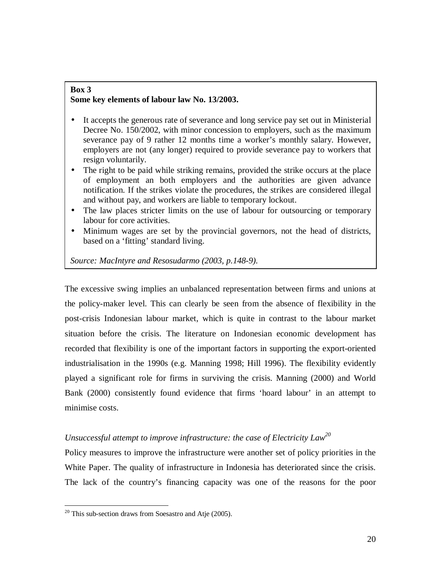#### **Box 3 Some key elements of labour law No. 13/2003.**

- It accepts the generous rate of severance and long service pay set out in Ministerial Decree No. 150/2002, with minor concession to employers, such as the maximum severance pay of 9 rather 12 months time a worker's monthly salary. However, employers are not (any longer) required to provide severance pay to workers that resign voluntarily.
- The right to be paid while striking remains, provided the strike occurs at the place of employment an both employers and the authorities are given advance notification. If the strikes violate the procedures, the strikes are considered illegal and without pay, and workers are liable to temporary lockout.
- The law places stricter limits on the use of labour for outsourcing or temporary labour for core activities.
- Minimum wages are set by the provincial governors, not the head of districts, based on a 'fitting' standard living.

*Source: MacIntyre and Resosudarmo (2003, p.148-9).* 

The excessive swing implies an unbalanced representation between firms and unions at the policy-maker level. This can clearly be seen from the absence of flexibility in the post-crisis Indonesian labour market, which is quite in contrast to the labour market situation before the crisis. The literature on Indonesian economic development has recorded that flexibility is one of the important factors in supporting the export-oriented industrialisation in the 1990s (e.g. Manning 1998; Hill 1996). The flexibility evidently played a significant role for firms in surviving the crisis. Manning (2000) and World Bank (2000) consistently found evidence that firms 'hoard labour' in an attempt to minimise costs.

# *Unsuccessful attempt to improve infrastructure: the case of Electricity Law 20*

Policy measures to improve the infrastructure were another set of policy priorities in the White Paper. The quality of infrastructure in Indonesia has deteriorated since the crisis. The lack of the country's financing capacity was one of the reasons for the poor

 $\overline{a}$  $20$  This sub-section draws from Soesastro and Atje (2005).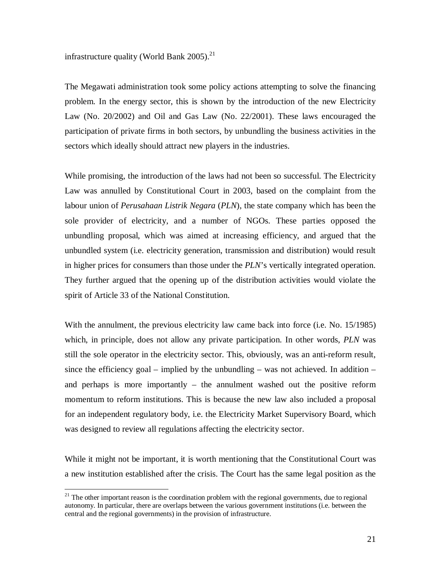infrastructure quality (World Bank  $2005$ ).<sup>21</sup>

The Megawati administration took some policy actions attempting to solve the financing problem. In the energy sector, this is shown by the introduction of the new Electricity Law (No. 20/2002) and Oil and Gas Law (No. 22/2001). These laws encouraged the participation of private firms in both sectors, by unbundling the business activities in the sectors which ideally should attract new players in the industries.

While promising, the introduction of the laws had not been so successful. The Electricity Law was annulled by Constitutional Court in 2003, based on the complaint from the labour union of *Perusahaan Listrik Negara* (*PLN*), the state company which has been the sole provider of electricity, and a number of NGOs. These parties opposed the unbundling proposal, which was aimed at increasing efficiency, and argued that the unbundled system (i.e. electricity generation, transmission and distribution) would result in higher prices for consumers than those under the *PLN*'s vertically integrated operation. They further argued that the opening up of the distribution activities would violate the spirit of Article 33 of the National Constitution.

With the annulment, the previous electricity law came back into force (i.e. No. 15/1985) which, in principle, does not allow any private participation. In other words, *PLN* was still the sole operator in the electricity sector. This, obviously, was an anti-reform result, since the efficiency goal – implied by the unbundling – was not achieved. In addition – and perhaps is more importantly – the annulment washed out the positive reform momentum to reform institutions. This is because the new law also included a proposal for an independent regulatory body, i.e. the Electricity Market Supervisory Board, which was designed to review all regulations affecting the electricity sector.

While it might not be important, it is worth mentioning that the Constitutional Court was a new institution established after the crisis. The Court has the same legal position as the

 $\overline{a}$ 

 $21$  The other important reason is the coordination problem with the regional governments, due to regional autonomy. In particular, there are overlaps between the various government institutions (i.e. between the central and the regional governments) in the provision of infrastructure.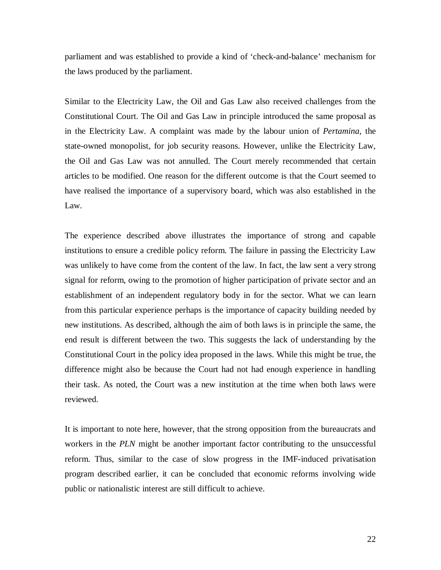parliament and was established to provide a kind of 'check-and-balance' mechanism for the laws produced by the parliament.

Similar to the Electricity Law, the Oil and Gas Law also received challenges from the Constitutional Court. The Oil and Gas Law in principle introduced the same proposal as in the Electricity Law. A complaint was made by the labour union of *Pertamina*, the state-owned monopolist, for job security reasons. However, unlike the Electricity Law, the Oil and Gas Law was not annulled. The Court merely recommended that certain articles to be modified. One reason for the different outcome is that the Court seemed to have realised the importance of a supervisory board, which was also established in the Law.

The experience described above illustrates the importance of strong and capable institutions to ensure a credible policy reform. The failure in passing the Electricity Law was unlikely to have come from the content of the law. In fact, the law sent a very strong signal for reform, owing to the promotion of higher participation of private sector and an establishment of an independent regulatory body in for the sector. What we can learn from this particular experience perhaps is the importance of capacity building needed by new institutions. As described, although the aim of both laws is in principle the same, the end result is different between the two. This suggests the lack of understanding by the Constitutional Court in the policy idea proposed in the laws. While this might be true, the difference might also be because the Court had not had enough experience in handling their task. As noted, the Court was a new institution at the time when both laws were reviewed.

It is important to note here, however, that the strong opposition from the bureaucrats and workers in the *PLN* might be another important factor contributing to the unsuccessful reform. Thus, similar to the case of slow progress in the IMF-induced privatisation program described earlier, it can be concluded that economic reforms involving wide public or nationalistic interest are still difficult to achieve.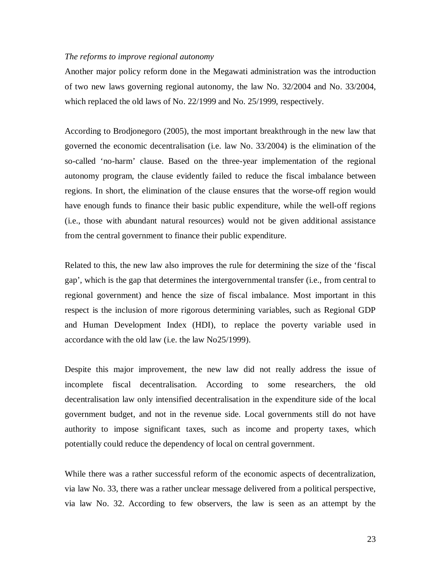#### *The reforms to improve regional autonomy*

Another major policy reform done in the Megawati administration was the introduction of two new laws governing regional autonomy, the law No. 32/2004 and No. 33/2004, which replaced the old laws of No. 22/1999 and No. 25/1999, respectively.

According to Brodjonegoro (2005), the most important breakthrough in the new law that governed the economic decentralisation (i.e. law No. 33/2004) is the elimination of the so-called 'no-harm' clause. Based on the three-year implementation of the regional autonomy program, the clause evidently failed to reduce the fiscal imbalance between regions. In short, the elimination of the clause ensures that the worse-off region would have enough funds to finance their basic public expenditure, while the well-off regions (i.e., those with abundant natural resources) would not be given additional assistance from the central government to finance their public expenditure.

Related to this, the new law also improves the rule for determining the size of the 'fiscal gap', which is the gap that determines the intergovernmental transfer (i.e., from central to regional government) and hence the size of fiscal imbalance. Most important in this respect is the inclusion of more rigorous determining variables, such as Regional GDP and Human Development Index (HDI), to replace the poverty variable used in accordance with the old law (i.e. the law No25/1999).

Despite this major improvement, the new law did not really address the issue of incomplete fiscal decentralisation. According to some researchers, the old decentralisation law only intensified decentralisation in the expenditure side of the local government budget, and not in the revenue side. Local governments still do not have authority to impose significant taxes, such as income and property taxes, which potentially could reduce the dependency of local on central government.

While there was a rather successful reform of the economic aspects of decentralization, via law No. 33, there was a rather unclear message delivered from a political perspective, via law No. 32. According to few observers, the law is seen as an attempt by the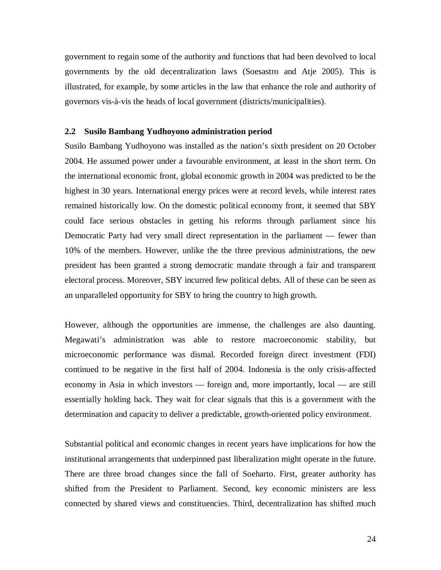government to regain some of the authority and functions that had been devolved to local governments by the old decentralization laws (Soesastro and Atje 2005). This is illustrated, for example, by some articles in the law that enhance the role and authority of governors vis-à-vis the heads of local government (districts/municipalities).

#### **2.2 Susilo Bambang Yudhoyono administration period**

Susilo Bambang Yudhoyono was installed as the nation's sixth president on 20 October 2004. He assumed power under a favourable environment, at least in the short term. On the international economic front, global economic growth in 2004 was predicted to be the highest in 30 years. International energy prices were at record levels, while interest rates remained historically low. On the domestic political economy front, it seemed that SBY could face serious obstacles in getting his reforms through parliament since his Democratic Party had very small direct representation in the parliament — fewer than 10% of the members. However, unlike the the three previous administrations, the new president has been granted a strong democratic mandate through a fair and transparent electoral process. Moreover, SBY incurred few political debts. All of these can be seen as an unparalleled opportunity for SBY to bring the country to high growth.

However, although the opportunities are immense, the challenges are also daunting. Megawati's administration was able to restore macroeconomic stability, but microeconomic performance was dismal. Recorded foreign direct investment (FDI) continued to be negative in the first half of 2004. Indonesia is the only crisis-affected economy in Asia in which investors — foreign and, more importantly, local — are still essentially holding back. They wait for clear signals that this is a government with the determination and capacity to deliver a predictable, growth-oriented policy environment.

Substantial political and economic changes in recent years have implications for how the institutional arrangements that underpinned past liberalization might operate in the future. There are three broad changes since the fall of Soeharto. First, greater authority has shifted from the President to Parliament. Second, key economic ministers are less connected by shared views and constituencies. Third, decentralization has shifted much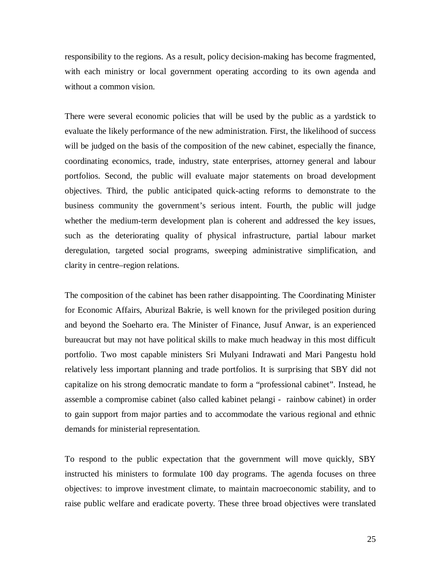responsibility to the regions. As a result, policy decision-making has become fragmented, with each ministry or local government operating according to its own agenda and without a common vision.

There were several economic policies that will be used by the public as a yardstick to evaluate the likely performance of the new administration. First, the likelihood of success will be judged on the basis of the composition of the new cabinet, especially the finance, coordinating economics, trade, industry, state enterprises, attorney general and labour portfolios. Second, the public will evaluate major statements on broad development objectives. Third, the public anticipated quick-acting reforms to demonstrate to the business community the government's serious intent. Fourth, the public will judge whether the medium-term development plan is coherent and addressed the key issues, such as the deteriorating quality of physical infrastructure, partial labour market deregulation, targeted social programs, sweeping administrative simplification, and clarity in centre–region relations.

The composition of the cabinet has been rather disappointing. The Coordinating Minister for Economic Affairs, Aburizal Bakrie, is well known for the privileged position during and beyond the Soeharto era. The Minister of Finance, Jusuf Anwar, is an experienced bureaucrat but may not have political skills to make much headway in this most difficult portfolio. Two most capable ministers Sri Mulyani Indrawati and Mari Pangestu hold relatively less important planning and trade portfolios. It is surprising that SBY did not capitalize on his strong democratic mandate to form a "professional cabinet". Instead, he assemble a compromise cabinet (also called kabinet pelangi - rainbow cabinet) in order to gain support from major parties and to accommodate the various regional and ethnic demands for ministerial representation.

To respond to the public expectation that the government will move quickly, SBY instructed his ministers to formulate 100 day programs. The agenda focuses on three objectives: to improve investment climate, to maintain macroeconomic stability, and to raise public welfare and eradicate poverty. These three broad objectives were translated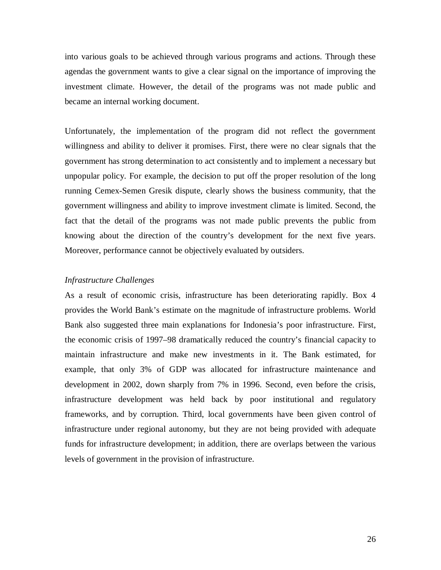into various goals to be achieved through various programs and actions. Through these agendas the government wants to give a clear signal on the importance of improving the investment climate. However, the detail of the programs was not made public and became an internal working document.

Unfortunately, the implementation of the program did not reflect the government willingness and ability to deliver it promises. First, there were no clear signals that the government has strong determination to act consistently and to implement a necessary but unpopular policy. For example, the decision to put off the proper resolution of the long running Cemex-Semen Gresik dispute, clearly shows the business community, that the government willingness and ability to improve investment climate is limited. Second, the fact that the detail of the programs was not made public prevents the public from knowing about the direction of the country's development for the next five years. Moreover, performance cannot be objectively evaluated by outsiders.

#### *Infrastructure Challenges*

As a result of economic crisis, infrastructure has been deteriorating rapidly. Box 4 provides the World Bank's estimate on the magnitude of infrastructure problems. World Bank also suggested three main explanations for Indonesia's poor infrastructure. First, the economic crisis of 1997–98 dramatically reduced the country's financial capacity to maintain infrastructure and make new investments in it. The Bank estimated, for example, that only 3% of GDP was allocated for infrastructure maintenance and development in 2002, down sharply from 7% in 1996. Second, even before the crisis, infrastructure development was held back by poor institutional and regulatory frameworks, and by corruption. Third, local governments have been given control of infrastructure under regional autonomy, but they are not being provided with adequate funds for infrastructure development; in addition, there are overlaps between the various levels of government in the provision of infrastructure.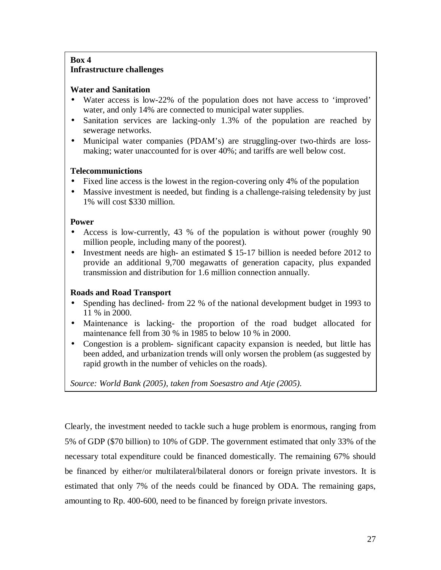# **Box 4 Infrastructure challenges**

# **Water and Sanitation**

- Water access is low-22% of the population does not have access to 'improved' water, and only 14% are connected to municipal water supplies.
- Sanitation services are lacking-only 1.3% of the population are reached by sewerage networks.
- Municipal water companies (PDAM's) are struggling-over two-thirds are lossmaking; water unaccounted for is over 40%; and tariffs are well below cost.

# **Telecommunictions**

- Fixed line access is the lowest in the region-covering only 4% of the population
- Massive investment is needed, but finding is a challenge-raising teledensity by just 1% will cost \$330 million.

# **Power**

- Access is low-currently, 43 % of the population is without power (roughly 90 million people, including many of the poorest).
- Investment needs are high- an estimated \$ 15-17 billion is needed before 2012 to provide an additional 9,700 megawatts of generation capacity, plus expanded transmission and distribution for 1.6 million connection annually.

# **Roads and Road Transport**

- Spending has declined- from 22 % of the national development budget in 1993 to 11 % in 2000.
- Maintenance is lacking- the proportion of the road budget allocated for maintenance fell from 30 % in 1985 to below 10 % in 2000.
- Congestion is a problem- significant capacity expansion is needed, but little has been added, and urbanization trends will only worsen the problem (as suggested by rapid growth in the number of vehicles on the roads).

*Source: World Bank (2005), taken from Soesastro and Atje (2005).* 

Clearly, the investment needed to tackle such a huge problem is enormous, ranging from 5% of GDP (\$70 billion) to 10% of GDP. The government estimated that only 33% of the necessary total expenditure could be financed domestically. The remaining 67% should be financed by either/or multilateral/bilateral donors or foreign private investors. It is estimated that only 7% of the needs could be financed by ODA. The remaining gaps, amounting to Rp. 400-600, need to be financed by foreign private investors.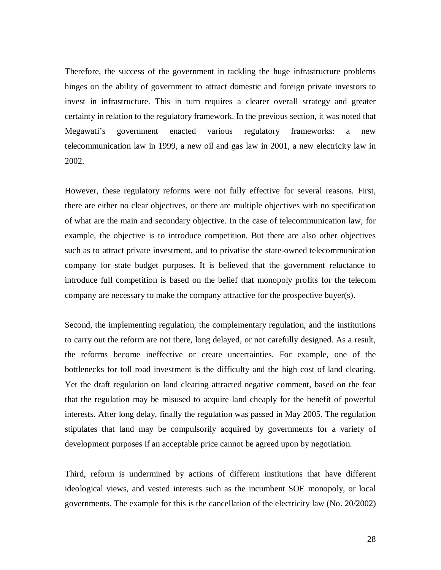Therefore, the success of the government in tackling the huge infrastructure problems hinges on the ability of government to attract domestic and foreign private investors to invest in infrastructure. This in turn requires a clearer overall strategy and greater certainty in relation to the regulatory framework. In the previous section, it was noted that Megawati's government enacted various regulatory frameworks: a new telecommunication law in 1999, a new oil and gas law in 2001, a new electricity law in 2002.

However, these regulatory reforms were not fully effective for several reasons. First, there are either no clear objectives, or there are multiple objectives with no specification of what are the main and secondary objective. In the case of telecommunication law, for example, the objective is to introduce competition. But there are also other objectives such as to attract private investment, and to privatise the state-owned telecommunication company for state budget purposes. It is believed that the government reluctance to introduce full competition is based on the belief that monopoly profits for the telecom company are necessary to make the company attractive for the prospective buyer(s).

Second, the implementing regulation, the complementary regulation, and the institutions to carry out the reform are not there, long delayed, or not carefully designed. As a result, the reforms become ineffective or create uncertainties. For example, one of the bottlenecks for toll road investment is the difficulty and the high cost of land clearing. Yet the draft regulation on land clearing attracted negative comment, based on the fear that the regulation may be misused to acquire land cheaply for the benefit of powerful interests. After long delay, finally the regulation was passed in May 2005. The regulation stipulates that land may be compulsorily acquired by governments for a variety of development purposes if an acceptable price cannot be agreed upon by negotiation.

Third, reform is undermined by actions of different institutions that have different ideological views, and vested interests such as the incumbent SOE monopoly, or local governments. The example for this is the cancellation of the electricity law (No. 20/2002)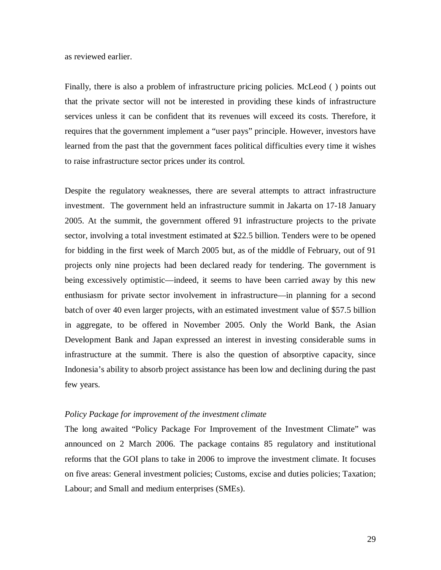as reviewed earlier.

Finally, there is also a problem of infrastructure pricing policies. McLeod ( ) points out that the private sector will not be interested in providing these kinds of infrastructure services unless it can be confident that its revenues will exceed its costs. Therefore, it requires that the government implement a "user pays" principle. However, investors have learned from the past that the government faces political difficulties every time it wishes to raise infrastructure sector prices under its control.

Despite the regulatory weaknesses, there are several attempts to attract infrastructure investment. The government held an infrastructure summit in Jakarta on 17-18 January 2005. At the summit, the government offered 91 infrastructure projects to the private sector, involving a total investment estimated at \$22.5 billion. Tenders were to be opened for bidding in the first week of March 2005 but, as of the middle of February, out of 91 projects only nine projects had been declared ready for tendering. The government is being excessively optimistic—indeed, it seems to have been carried away by this new enthusiasm for private sector involvement in infrastructure—in planning for a second batch of over 40 even larger projects, with an estimated investment value of \$57.5 billion in aggregate, to be offered in November 2005. Only the World Bank, the Asian Development Bank and Japan expressed an interest in investing considerable sums in infrastructure at the summit. There is also the question of absorptive capacity, since Indonesia's ability to absorb project assistance has been low and declining during the past few years.

#### *Policy Package for improvement of the investment climate*

The long awaited "Policy Package For Improvement of the Investment Climate" was announced on 2 March 2006. The package contains 85 regulatory and institutional reforms that the GOI plans to take in 2006 to improve the investment climate. It focuses on five areas: General investment policies; Customs, excise and duties policies; Taxation; Labour; and Small and medium enterprises (SMEs).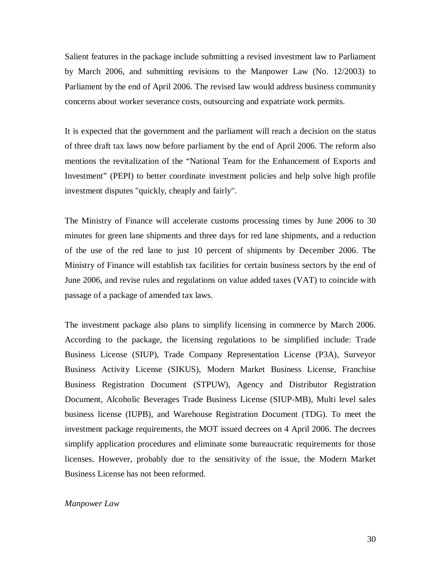Salient features in the package include submitting a revised investment law to Parliament by March 2006, and submitting revisions to the Manpower Law (No. 12/2003) to Parliament by the end of April 2006. The revised law would address business community concerns about worker severance costs, outsourcing and expatriate work permits.

It is expected that the government and the parliament will reach a decision on the status of three draft tax laws now before parliament by the end of April 2006. The reform also mentions the revitalization of the "National Team for the Enhancement of Exports and Investment" (PEPI) to better coordinate investment policies and help solve high profile investment disputes "quickly, cheaply and fairly".

The Ministry of Finance will accelerate customs processing times by June 2006 to 30 minutes for green lane shipments and three days for red lane shipments, and a reduction of the use of the red lane to just 10 percent of shipments by December 2006. The Ministry of Finance will establish tax facilities for certain business sectors by the end of June 2006, and revise rules and regulations on value added taxes (VAT) to coincide with passage of a package of amended tax laws.

The investment package also plans to simplify licensing in commerce by March 2006. According to the package, the licensing regulations to be simplified include: Trade Business License (SIUP), Trade Company Representation License (P3A), Surveyor Business Activity License (SIKUS), Modern Market Business License, Franchise Business Registration Document (STPUW), Agency and Distributor Registration Document, Alcoholic Beverages Trade Business License (SIUP-MB), Multi level sales business license (IUPB), and Warehouse Registration Document (TDG). To meet the investment package requirements, the MOT issued decrees on 4 April 2006. The decrees simplify application procedures and eliminate some bureaucratic requirements for those licenses. However, probably due to the sensitivity of the issue, the Modern Market Business License has not been reformed.

#### *Manpower Law*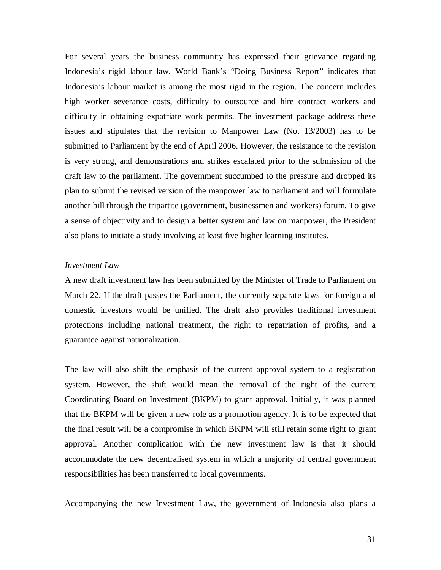For several years the business community has expressed their grievance regarding Indonesia's rigid labour law. World Bank's "Doing Business Report" indicates that Indonesia's labour market is among the most rigid in the region. The concern includes high worker severance costs, difficulty to outsource and hire contract workers and difficulty in obtaining expatriate work permits. The investment package address these issues and stipulates that the revision to Manpower Law (No. 13/2003) has to be submitted to Parliament by the end of April 2006. However, the resistance to the revision is very strong, and demonstrations and strikes escalated prior to the submission of the draft law to the parliament. The government succumbed to the pressure and dropped its plan to submit the revised version of the manpower law to parliament and will formulate another bill through the tripartite (government, businessmen and workers) forum. To give a sense of objectivity and to design a better system and law on manpower, the President also plans to initiate a study involving at least five higher learning institutes.

#### *Investment Law*

A new draft investment law has been submitted by the Minister of Trade to Parliament on March 22. If the draft passes the Parliament, the currently separate laws for foreign and domestic investors would be unified. The draft also provides traditional investment protections including national treatment, the right to repatriation of profits, and a guarantee against nationalization.

The law will also shift the emphasis of the current approval system to a registration system. However, the shift would mean the removal of the right of the current Coordinating Board on Investment (BKPM) to grant approval. Initially, it was planned that the BKPM will be given a new role as a promotion agency. It is to be expected that the final result will be a compromise in which BKPM will still retain some right to grant approval. Another complication with the new investment law is that it should accommodate the new decentralised system in which a majority of central government responsibilities has been transferred to local governments.

Accompanying the new Investment Law, the government of Indonesia also plans a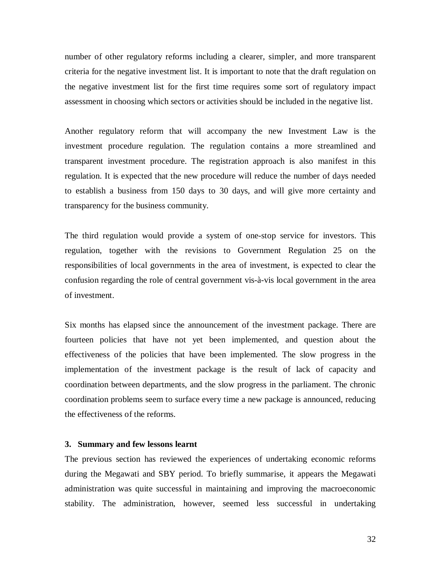number of other regulatory reforms including a clearer, simpler, and more transparent criteria for the negative investment list. It is important to note that the draft regulation on the negative investment list for the first time requires some sort of regulatory impact assessment in choosing which sectors or activities should be included in the negative list.

Another regulatory reform that will accompany the new Investment Law is the investment procedure regulation. The regulation contains a more streamlined and transparent investment procedure. The registration approach is also manifest in this regulation. It is expected that the new procedure will reduce the number of days needed to establish a business from 150 days to 30 days, and will give more certainty and transparency for the business community.

The third regulation would provide a system of one-stop service for investors. This regulation, together with the revisions to Government Regulation 25 on the responsibilities of local governments in the area of investment, is expected to clear the confusion regarding the role of central government vis-à-vis local government in the area of investment.

Six months has elapsed since the announcement of the investment package. There are fourteen policies that have not yet been implemented, and question about the effectiveness of the policies that have been implemented. The slow progress in the implementation of the investment package is the result of lack of capacity and coordination between departments, and the slow progress in the parliament. The chronic coordination problems seem to surface every time a new package is announced, reducing the effectiveness of the reforms.

#### **3. Summary and few lessons learnt**

The previous section has reviewed the experiences of undertaking economic reforms during the Megawati and SBY period. To briefly summarise, it appears the Megawati administration was quite successful in maintaining and improving the macroeconomic stability. The administration, however, seemed less successful in undertaking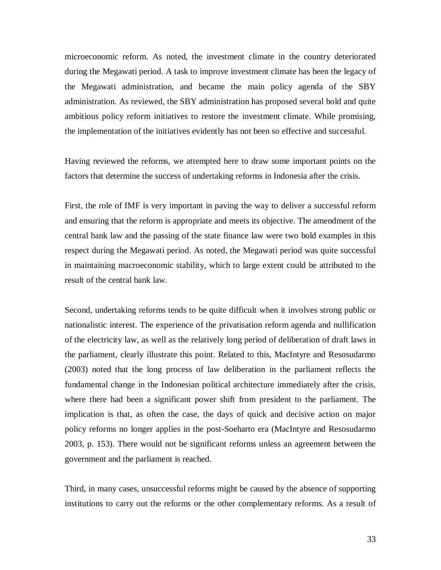microeconomic reform. As noted, the investment climate in the country deteriorated during the Megawati period. A task to improve investment climate has been the legacy of the Megawati administration, and became the main policy agenda of the SBY administration. As reviewed, the SBY administration has proposed several bold and quite ambitious policy reform initiatives to restore the investment climate. While promising, the implementation of the initiatives evidently has not been so effective and successful.

Having reviewed the reforms, we attempted here to draw some important points on the factors that determine the success of undertaking reforms in Indonesia after the crisis.

First, the role of IMF is very important in paving the way to deliver a successful reform and ensuring that the reform is appropriate and meets its objective. The amendment of the central bank law and the passing of the state finance law were two bold examples in this respect during the Megawati period. As noted, the Megawati period was quite successful in maintaining macroeconomic stability, which to large extent could be attributed to the result of the central bank law.

Second, undertaking reforms tends to be quite difficult when it involves strong public or nationalistic interest. The experience of the privatisation reform agenda and nullification of the electricity law, as well as the relatively long period of deliberation of draft laws in the parliament, clearly illustrate this point. Related to this, MacIntyre and Resosudarmo (2003) noted that the long process of law deliberation in the parliament reflects the fundamental change in the Indonesian political architecture immediately after the crisis, where there had been a significant power shift from president to the parliament. The implication is that, as often the case, the days of quick and decisive action on major policy reforms no longer applies in the post-Soeharto era (MacIntyre and Resosudarmo 2003, p. 153). There would not be significant reforms unless an agreement between the government and the parliament is reached.

Third, in many cases, unsuccessful reforms might be caused by the absence of supporting institutions to carry out the reforms or the other complementary reforms. As a result of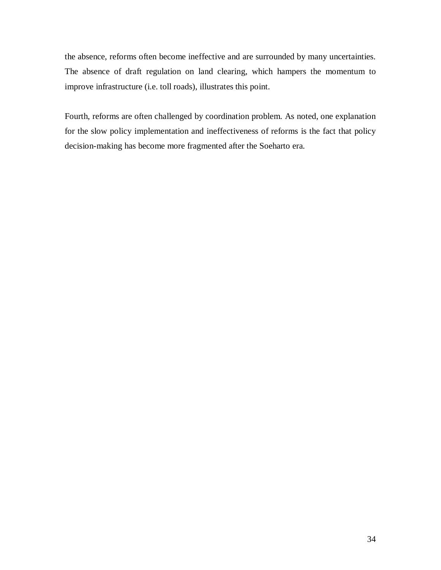the absence, reforms often become ineffective and are surrounded by many uncertainties. The absence of draft regulation on land clearing, which hampers the momentum to improve infrastructure (i.e. toll roads), illustrates this point.

Fourth, reforms are often challenged by coordination problem. As noted, one explanation for the slow policy implementation and ineffectiveness of reforms is the fact that policy decision-making has become more fragmented after the Soeharto era.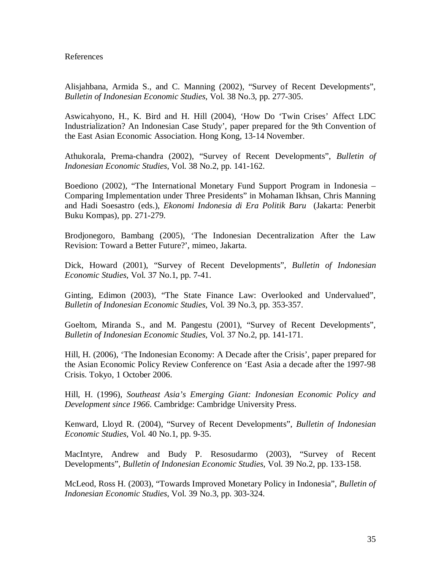#### References

Alisjahbana, Armida S., and C. Manning (2002), "Survey of Recent Developments", *Bulletin of Indonesian Economic Studies*, Vol. 38 No.3, pp. 277-305.

Aswicahyono, H., K. Bird and H. Hill (2004), 'How Do 'Twin Crises' Affect LDC Industrialization? An Indonesian Case Study', paper prepared for the 9th Convention of the East Asian Economic Association. Hong Kong, 13-14 November.

Athukorala, Prema-chandra (2002), "Survey of Recent Developments", *Bulletin of Indonesian Economic Studies*, Vol. 38 No.2, pp. 141-162.

Boediono (2002), "The International Monetary Fund Support Program in Indonesia – Comparing Implementation under Three Presidents" in Mohaman Ikhsan, Chris Manning and Hadi Soesastro (eds.), *Ekonomi Indonesia di Era Politik Baru* (Jakarta: Penerbit Buku Kompas), pp. 271-279.

Brodjonegoro, Bambang (2005), 'The Indonesian Decentralization After the Law Revision: Toward a Better Future?', mimeo, Jakarta.

Dick, Howard (2001), "Survey of Recent Developments", *Bulletin of Indonesian Economic Studies*, Vol. 37 No.1, pp. 7-41.

Ginting, Edimon (2003), "The State Finance Law: Overlooked and Undervalued", *Bulletin of Indonesian Economic Studies*, Vol. 39 No.3, pp. 353-357.

Goeltom, Miranda S., and M. Pangestu (2001), "Survey of Recent Developments", *Bulletin of Indonesian Economic Studies*, Vol. 37 No.2, pp. 141-171.

Hill, H. (2006), 'The Indonesian Economy: A Decade after the Crisis', paper prepared for the Asian Economic Policy Review Conference on 'East Asia a decade after the 1997-98 Crisis. Tokyo, 1 October 2006.

Hill, H. (1996), *Southeast Asia's Emerging Giant: Indonesian Economic Policy and Development since 1966*. Cambridge: Cambridge University Press.

Kenward, Lloyd R. (2004), "Survey of Recent Developments", *Bulletin of Indonesian Economic Studies*, Vol. 40 No.1, pp. 9-35.

MacIntyre, Andrew and Budy P. Resosudarmo (2003), "Survey of Recent Developments", *Bulletin of Indonesian Economic Studies*, Vol. 39 No.2, pp. 133-158.

McLeod, Ross H. (2003), "Towards Improved Monetary Policy in Indonesia", *Bulletin of Indonesian Economic Studies*, Vol. 39 No.3, pp. 303-324.